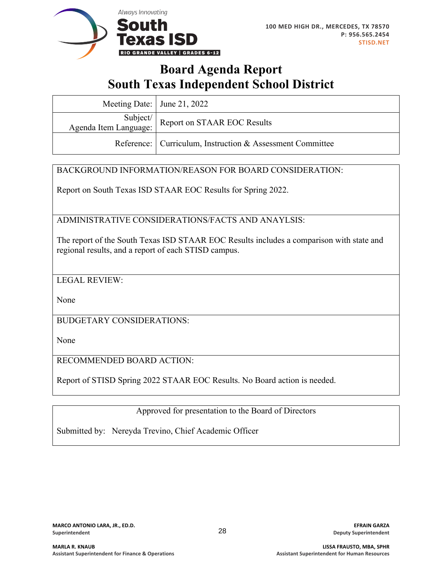

### **Board Agenda Report South Texas Independent School District**

| Meeting Date: $\vert$ June 21, 2022 |                                                                                              |
|-------------------------------------|----------------------------------------------------------------------------------------------|
|                                     | Subject/<br>Report on STAAR EOC Results<br>Agenda Item Language: Report on STAAR EOC Results |
|                                     | Reference: Curriculum, Instruction & Assessment Committee                                    |

### BACKGROUND INFORMATION/REASON FOR BOARD CONSIDERATION:

Report on South Texas ISD STAAR EOC Results for Spring 2022.

ADMINISTRATIVE CONSIDERATIONS/FACTS AND ANAYLSIS:

The report of the South Texas ISD STAAR EOC Results includes a comparison with state and regional results, and a report of each STISD campus.

LEGAL REVIEW:

None

BUDGETARY CONSIDERATIONS:

None

RECOMMENDED BOARD ACTION:

Report of STISD Spring 2022 STAAR EOC Results. No Board action is needed.

Approved for presentation to the Board of Directors

Submitted by: Nereyda Trevino, Chief Academic Officer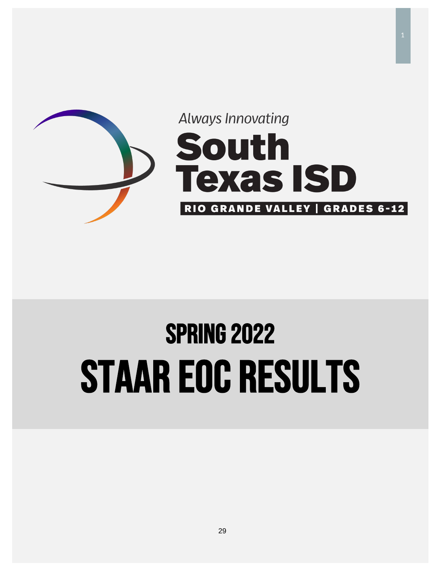

## SPRING 2022 STAAR EOC Results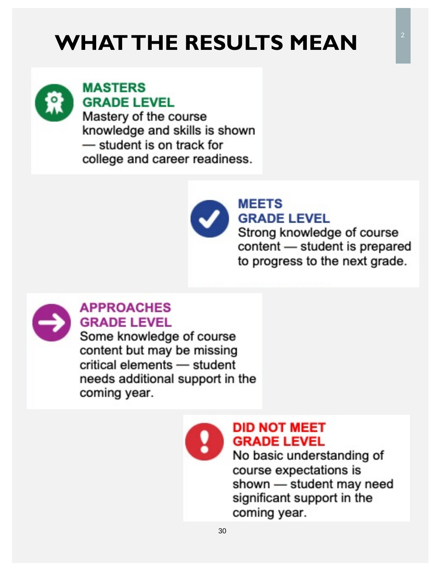## **WHAT THE RESULTS MEAN**



### **MASTERS GRADE LEVEL**

Mastery of the course knowledge and skills is shown - student is on track for college and career readiness.



### **MEETS GRADE LEVEL**

Strong knowledge of course content - student is prepared to progress to the next grade.



### **APPROACHES GRADE LEVEL**

Some knowledge of course content but may be missing critical elements - student needs additional support in the coming year.



### **DID NOT MEET GRADE LEVEL**

No basic understanding of course expectations is shown - student may need significant support in the coming year.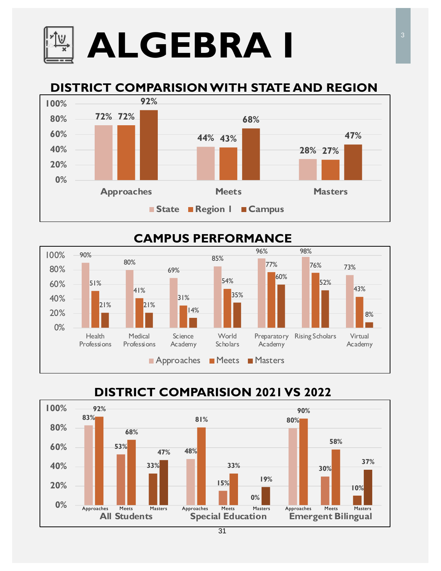# **ALGEBRA I**

### **DISTRICT COMPARISIONWITH STATE AND REGION**



### **CAMPUS PERFORMANCE**



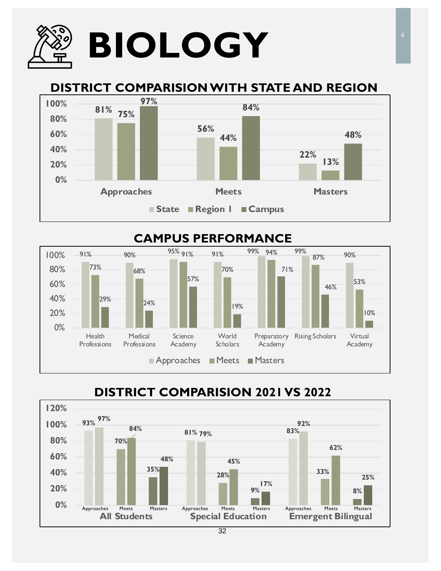

### **DISTRICT COMPARISION WITH STATE AND REGION**



#### 91% 90% <sup>95%</sup> 91% 91% <sup>99%</sup> 94% <sup>99%</sup> <sub>87%</sub> 90% 73% 68%  $95\%$  91% 70% 99% 94% 99% 87% 53%  $29\%$  24% 57% 19% 71% 46% 10% 0% 20% 40% 60% 80% 100% **Health** Professions Medical Professions Science Academy World **Scholars** Preparatory Rising Scholars Virtual Academy Academy Approaches Meets Masters **CAMPUS PERFORMANCE**

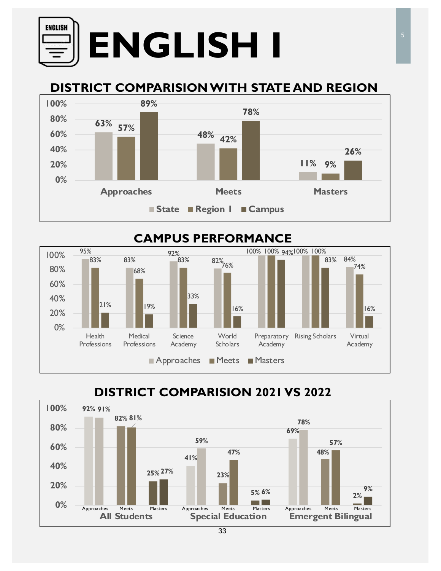

### **DISTRICT COMPARISION WITH STATE AND REGION**





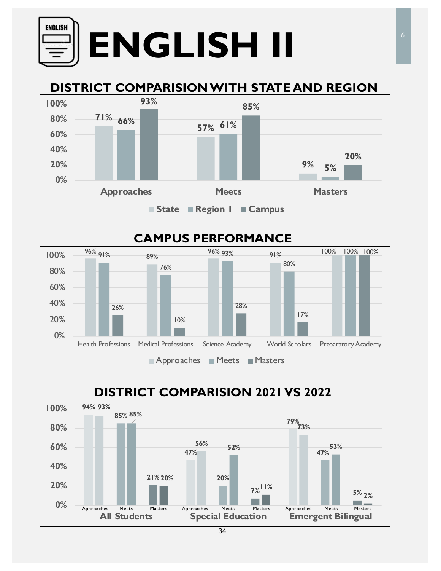## **ENGLISH ENGLISH II**

### **DISTRICT COMPARISION WITH STATE AND REGION**



### **CAMPUS PERFORMANCE**